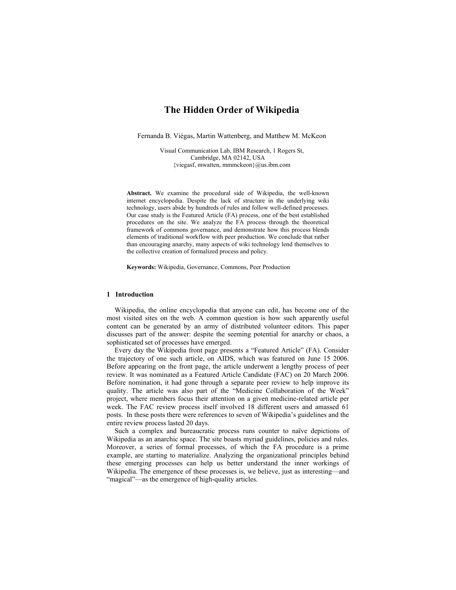# The Hidden Order of Wikipedia

Fernanda B. Viégas, Martin Wattenberg, and Matthew M. McKeon

Visual Communication Lab, IBM Research, 1 Rogers St, Cambridge, MA 02142, USA {viegasf, mwatten, mmmckeon} @us.ibm.com

Abstract. We examine the procedural side of Wikipedia, the well-known internet encyclopedia. Despite the lack of structure in the underlying wiki technology, users abide by hundreds of rules and follow well-defined processes. Our case study is the Featured Article (FA) process, one of the best established procedures on the site. We analyze the FA process through the theoretical framework of commons governance, and demonstrate how this process blends elements of traditional workflow with peer production. We conclude that rather than encouraging anarchy, many aspects of wiki technology lend themselves to the collective creation of formalized process and policy.

Keywords: Wikipedia, Governance, Commons, Peer Production

# 1 Introduction

Wikipedia, the online encyclopedia that anyone can edit, has become one of the most visited sites on the web. A common question is how such apparently useful content can be generated by an army of distributed volunteer editors. This paper discusses part of the answer: despite the seeming potential for anarchy or chaos, a sophisticated set of processes have emerged.

Every day the Wikipedia front page presents a "Featured Article" (FA). Consider the trajectory of one such article, on AIDS, which was featured on June 15 2006. Before appearing on the front page, the article underwent a lengthy process of peer review. It was nominated as a Featured Article Candidate (FAC) on 20 March 2006. Before nomination, it had gone through a separate peer review to help improve its quality. The article was also part of the "Medicine Collaboration of the Week" project, where members focus their attention on a given medicine-related article per week. The FAC review process itself involved 18 different users and amassed 61 posts. In these posts there were references to seven of Wikipedia's guidelines and the entire review process lasted 20 days.

Such a complex and bureaucratic process runs counter to naïve depictions of Wikipedia as an anarchic space. The site boasts myriad guidelines, policies and rules. Moreover, a series of formal processes, of which the FA procedure is a prime example, are starting to materialize. Analyzing the organizational principles behind these emerging processes can help us better understand the inner workings of Wikipedia. The emergence of these processes is, we believe, just as interesting—and "magical"—as the emergence of high-quality articles.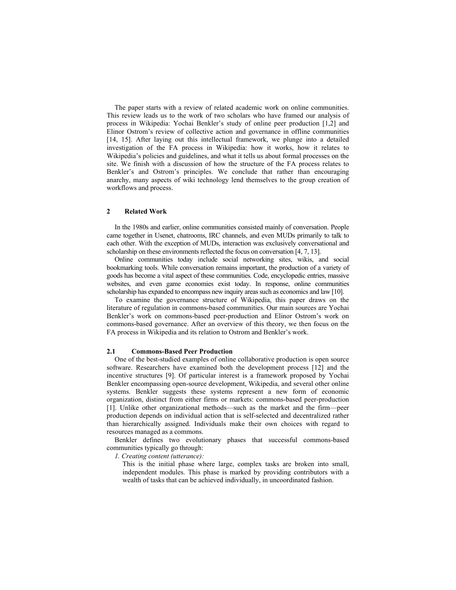The paper starts with a review of related academic work on online communities. This review leads us to the work of two scholars who have framed our analysis of process in Wikipedia: Yochai Benkler's study of online peer production [1,2] and Elinor Ostrom's review of collective action and governance in offline communities [14, 15]. After laying out this intellectual framework, we plunge into a detailed investigation of the FA process in Wikipedia: how it works, how it relates to Wikipedia's policies and guidelines, and what it tells us about formal processes on the site. We finish with a discussion of how the structure of the FA process relates to Benkler's and Ostrom's principles. We conclude that rather than encouraging anarchy, many aspects of wiki technology lend themselves to the group creation of workflows and process.

### $\mathbf{2}$ **Related Work**

In the 1980s and earlier, online communities consisted mainly of conversation. People came together in Usenet, chatrooms, IRC channels, and even MUDs primarily to talk to each other. With the exception of MUDs, interaction was exclusively conversational and scholarship on these environments reflected the focus on conversation  $[4, 7, 13]$ .

Online communities today include social networking sites, wikis, and social bookmarking tools. While conversation remains important, the production of a variety of goods has become a vital aspect of these communities. Code, encyclopedic entries, massive websites, and even game economies exist today. In response, online communities scholarship has expanded to encompass new inquiry areas such as economics and law [10].

To examine the governance structure of Wikipedia, this paper draws on the literature of regulation in commons-based communities. Our main sources are Yochai Benkler's work on commons-based peer-production and Elinor Ostrom's work on commons-based governance. After an overview of this theory, we then focus on the FA process in Wikipedia and its relation to Ostrom and Benkler's work.

#### $2.1$ **Commons-Based Peer Production**

One of the best-studied examples of online collaborative production is open source software. Researchers have examined both the development process [12] and the incentive structures [9]. Of particular interest is a framework proposed by Yochai Benkler encompassing open-source development, Wikipedia, and several other online systems. Benkler suggests these systems represent a new form of economic organization, distinct from either firms or markets: commons-based peer-production [1]. Unlike other organizational methods—such as the market and the firm—peer production depends on individual action that is self-selected and decentralized rather than hierarchically assigned. Individuals make their own choices with regard to resources managed as a commons.

Benkler defines two evolutionary phases that successful commons-based communities typically go through:

1. Creating content (utterance):

This is the initial phase where large, complex tasks are broken into small, independent modules. This phase is marked by providing contributors with a wealth of tasks that can be achieved individually, in uncoordinated fashion.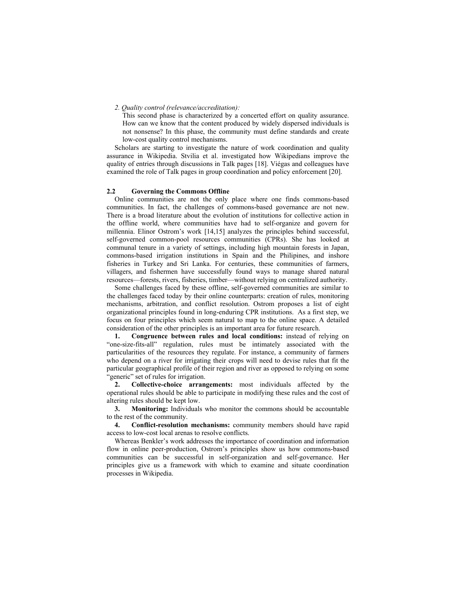# 2. Quality control (relevance/accreditation):

This second phase is characterized by a concerted effort on quality assurance. How can we know that the content produced by widely dispersed individuals is not nonsense? In this phase, the community must define standards and create low-cost quality control mechanisms.

Scholars are starting to investigate the nature of work coordination and quality assurance in Wikipedia. Stvilia et al. investigated how Wikipedians improve the quality of entries through discussions in Talk pages [18]. Viégas and colleagues have examined the role of Talk pages in group coordination and policy enforcement [20].

### $2.2$ **Governing the Commons Offline**

Online communities are not the only place where one finds commons-based communities. In fact, the challenges of commons-based governance are not new. There is a broad literature about the evolution of institutions for collective action in the offline world, where communities have had to self-organize and govern for millennia. Elinor Ostrom's work [14,15] analyzes the principles behind successful, self-governed common-pool resources communities (CPRs). She has looked at communal tenure in a variety of settings, including high mountain forests in Japan, commons-based irrigation institutions in Spain and the Philipines, and inshore fisheries in Turkey and Sri Lanka. For centuries, these communities of farmers, villagers, and fishermen have successfully found ways to manage shared natural resources—forests, rivers, fisheries, timber—without relying on centralized authority.

Some challenges faced by these offline, self-governed communities are similar to the challenges faced today by their online counterparts: creation of rules, monitoring mechanisms, arbitration, and conflict resolution. Ostrom proposes a list of eight organizational principles found in long-enduring CPR institutions. As a first step, we focus on four principles which seem natural to map to the online space. A detailed consideration of the other principles is an important area for future research.

Congruence between rules and local conditions: instead of relying on 1. "one-size-fits-all" regulation, rules must be intimately associated with the particularities of the resources they regulate. For instance, a community of farmers who depend on a river for irrigating their crops will need to devise rules that fit the particular geographical profile of their region and river as opposed to relying on some 'generic" set of rules for irrigation.

 $2.$ Collective-choice arrangements: most individuals affected by the operational rules should be able to participate in modifying these rules and the cost of altering rules should be kept low.

Monitoring: Individuals who monitor the commons should be accountable 3. to the rest of the community.

 $\boldsymbol{4}$ . Conflict-resolution mechanisms: community members should have rapid access to low-cost local arenas to resolve conflicts.

Whereas Benkler's work addresses the importance of coordination and information flow in online peer-production, Ostrom's principles show us how commons-based communities can be successful in self-organization and self-governance. Her principles give us a framework with which to examine and situate coordination processes in Wikipedia.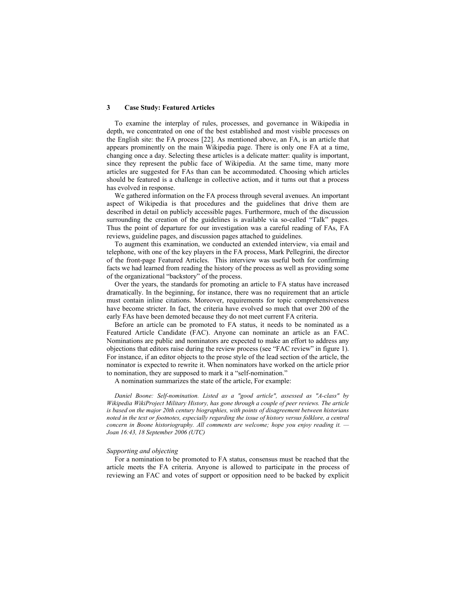### $\mathbf{3}$ **Case Study: Featured Articles**

To examine the interplay of rules, processes, and governance in Wikipedia in depth, we concentrated on one of the best established and most visible processes on the English site: the FA process [22]. As mentioned above, an FA, is an article that appears prominently on the main Wikipedia page. There is only one FA at a time, changing once a day. Selecting these articles is a delicate matter: quality is important, since they represent the public face of Wikipedia. At the same time, many more articles are suggested for FAs than can be accommodated. Choosing which articles should be featured is a challenge in collective action, and it turns out that a process has evolved in response.

We gathered information on the FA process through several avenues. An important aspect of Wikipedia is that procedures and the guidelines that drive them are described in detail on publicly accessible pages. Furthermore, much of the discussion surrounding the creation of the guidelines is available via so-called "Talk" pages. Thus the point of departure for our investigation was a careful reading of FAs, FA reviews, guideline pages, and discussion pages attached to guidelines.

To augment this examination, we conducted an extended interview, via email and telephone, with one of the key players in the FA process, Mark Pellegrini, the director of the front-page Featured Articles. This interview was useful both for confirming facts we had learned from reading the history of the process as well as providing some of the organizational "backstory" of the process.

Over the years, the standards for promoting an article to FA status have increased dramatically. In the beginning, for instance, there was no requirement that an article must contain inline citations. Moreover, requirements for topic comprehensiveness have become stricter. In fact, the criteria have evolved so much that over 200 of the early FAs have been demoted because they do not meet current FA criteria.

Before an article can be promoted to FA status, it needs to be nominated as a Featured Article Candidate (FAC). Anyone can nominate an article as an FAC. Nominations are public and nominators are expected to make an effort to address any objections that editors raise during the review process (see "FAC review" in figure 1). For instance, if an editor objects to the prose style of the lead section of the article, the nominator is expected to rewrite it. When nominators have worked on the article prior to nomination, they are supposed to mark it a "self-nomination."

A nomination summarizes the state of the article, For example:

Daniel Boone: Self-nomination. Listed as a "good article", assessed as "A-class" by Wikipedia WikiProject Military History, has gone through a couple of peer reviews. The article is based on the major 20th century biographies, with points of disagreement between historians noted in the text or footnotes, especially regarding the issue of history versus folklore, a central concern in Boone historiography. All comments are welcome; hope you enjoy reading it. -Joan 16:43, 18 September 2006 (UTC)

### Supporting and objecting

For a nomination to be promoted to FA status, consensus must be reached that the article meets the FA criteria. Anyone is allowed to participate in the process of reviewing an FAC and votes of support or opposition need to be backed by explicit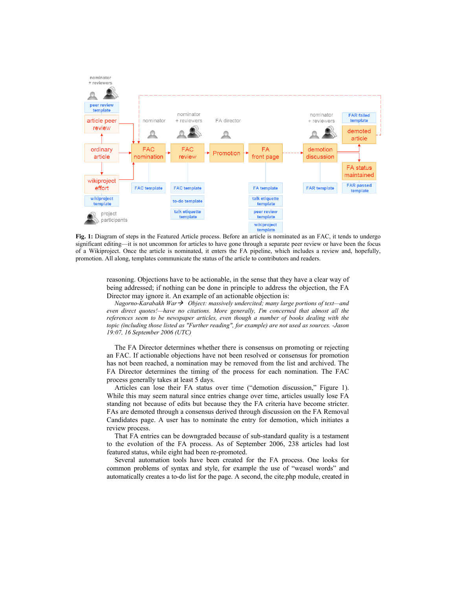

Fig. 1: Diagram of steps in the Featured Article process. Before an article is nominated as an FAC, it tends to undergo significant editing—it is not uncommon for articles to have gone through a separate peer review or have been the focus of a Wikiproject. Once the article is nominated, it enters the FA pipeline, which includes a review and, hopefully, promotion. All along, templates communicate the status of the article to contributors and readers.

reasoning. Objections have to be actionable, in the sense that they have a clear way of being addressed; if nothing can be done in principle to address the objection, the FA Director may ignore it. An example of an actionable objection is:

Nagorno-Karabakh War  $\rightarrow$  Object: massively undercited; many large portions of text-and even direct quotes!-have no citations. More generally, I'm concerned that almost all the references seem to be newspaper articles, even though a number of books dealing with the topic (including those listed as "Further reading", for example) are not used as sources. -Jason 19:07, 16 September 2006 (UTC)

The FA Director determines whether there is consensus on promoting or rejecting an FAC. If actionable objections have not been resolved or consensus for promotion has not been reached, a nomination may be removed from the list and archived. The FA Director determines the timing of the process for each nomination. The FAC process generally takes at least 5 days.

Articles can lose their FA status over time ("demotion discussion," Figure 1). While this may seem natural since entries change over time, articles usually lose FA standing not because of edits but because they the FA criteria have become stricter. FAs are demoted through a consensus derived through discussion on the FA Removal Candidates page. A user has to nominate the entry for demotion, which initiates a review process.

That FA entries can be downgraded because of sub-standard quality is a testament to the evolution of the FA process. As of September 2006, 238 articles had lost featured status, while eight had been re-promoted.

Several automation tools have been created for the FA process. One looks for common problems of syntax and style, for example the use of "weasel words" and automatically creates a to-do list for the page. A second, the cite php module, created in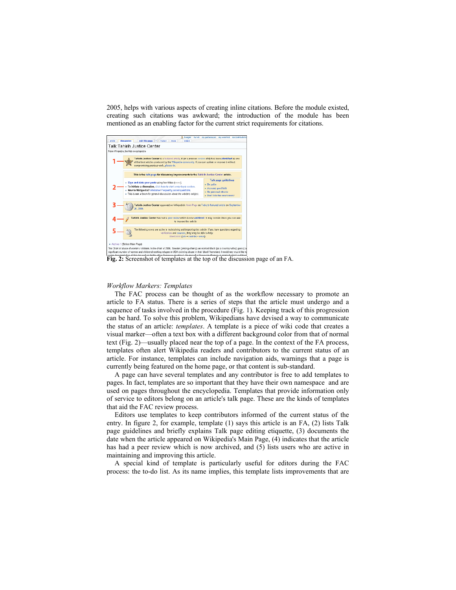2005, helps with various aspects of creating inline citations. Before the module existed, creating such citations was awkward; the introduction of the module has been mentioned as an enabling factor for the current strict requirements for citations.



Fig. 2: Screenshot of templates at the top of the discussion page of an FA.

# **Workflow Markers: Templates**

The FAC process can be thought of as the workflow necessary to promote an article to FA status. There is a series of steps that the article must undergo and a sequence of tasks involved in the procedure (Fig. 1). Keeping track of this progression can be hard. To solve this problem, Wikipedians have devised a way to communicate the status of an article: *templates*. A template is a piece of wiki code that creates a visual marker—often a text box with a different background color from that of normal text (Fig. 2)—usually placed near the top of a page. In the context of the FA process, templates often alert Wikipedia readers and contributors to the current status of an article. For instance, templates can include navigation aids, warnings that a page is currently being featured on the home page, or that content is sub-standard.

A page can have several templates and any contributor is free to add templates to pages. In fact, templates are so important that they have their own namespace and are used on pages throughout the encyclopedia. Templates that provide information only of service to editors belong on an article's talk page. These are the kinds of templates that aid the FAC review process.

Editors use templates to keep contributors informed of the current status of the entry. In figure 2, for example, template  $(1)$  says this article is an FA,  $(2)$  lists Talk page guidelines and briefly explains Talk page editing etiquette, (3) documents the date when the article appeared on Wikipedia's Main Page, (4) indicates that the article has had a peer review which is now archived, and (5) lists users who are active in maintaining and improving this article.

A special kind of template is particularly useful for editors during the FAC process: the to-do list. As its name implies, this template lists improvements that are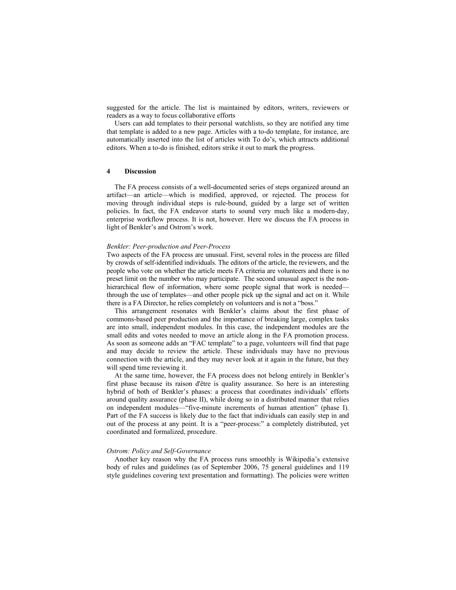suggested for the article. The list is maintained by editors, writers, reviewers or readers as a way to focus collaborative efforts

Users can add templates to their personal watchlists, so they are notified any time that template is added to a new page. Articles with a to-do template, for instance, are automatically inserted into the list of articles with To do's, which attracts additional editors. When a to-do is finished, editors strike it out to mark the progress.

### $\boldsymbol{\Delta}$ **Discussion**

The FA process consists of a well-documented series of steps organized around an artifact-an article-which is modified, approved, or rejected. The process for moving through individual steps is rule-bound, guided by a large set of written policies. In fact, the FA endeavor starts to sound very much like a modern-day, enterprise workflow process. It is not, however. Here we discuss the FA process in light of Benkler's and Ostrom's work.

# Benkler: Peer-production and Peer-Process

Two aspects of the FA process are unusual. First, several roles in the process are filled by crowds of self-identified individuals. The editors of the article, the reviewers, and the people who vote on whether the article meets FA criteria are volunteers and there is no preset limit on the number who may participate. The second unusual aspect is the nonhierarchical flow of information, where some people signal that work is needed through the use of templates—and other people pick up the signal and act on it. While there is a FA Director, he relies completely on volunteers and is not a "boss."

This arrangement resonates with Benkler's claims about the first phase of commons-based peer production and the importance of breaking large, complex tasks are into small, independent modules. In this case, the independent modules are the small edits and votes needed to move an article along in the FA promotion process. As soon as someone adds an "FAC template" to a page, volunteers will find that page and may decide to review the article. These individuals may have no previous connection with the article, and they may never look at it again in the future, but they will spend time reviewing it.

At the same time, however, the FA process does not belong entirely in Benkler's first phase because its raison d'être is quality assurance. So here is an interesting hybrid of both of Benkler's phases: a process that coordinates individuals' efforts around quality assurance (phase II), while doing so in a distributed manner that relies on independent modules—"five-minute increments of human attention" (phase I). Part of the FA success is likely due to the fact that individuals can easily step in and out of the process at any point. It is a "peer-process:" a completely distributed, yet coordinated and formalized, procedure.

# Ostrom: Policy and Self-Governance

Another key reason why the FA process runs smoothly is Wikipedia's extensive body of rules and guidelines (as of September 2006, 75 general guidelines and 119 style guidelines covering text presentation and formatting). The policies were written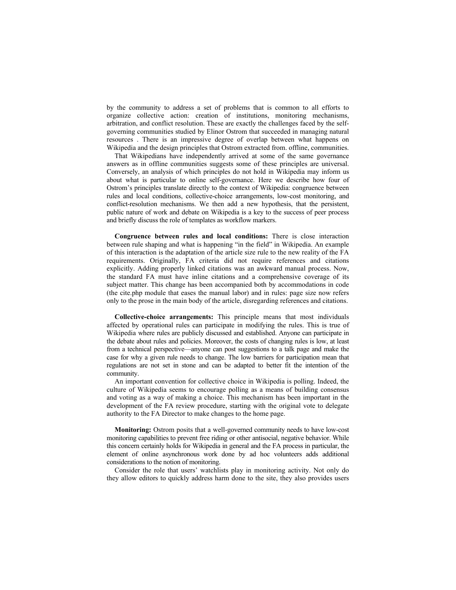by the community to address a set of problems that is common to all efforts to organize collective action: creation of institutions, monitoring mechanisms, arbitration, and conflict resolution. These are exactly the challenges faced by the selfgoverning communities studied by Elinor Ostrom that succeeded in managing natural resources. There is an impressive degree of overlap between what happens on Wikipedia and the design principles that Ostrom extracted from. offline, communities.

That Wikipedians have independently arrived at some of the same governance answers as in offline communities suggests some of these principles are universal. Conversely, an analysis of which principles do not hold in Wikipedia may inform us about what is particular to online self-governance. Here we describe how four of Ostrom's principles translate directly to the context of Wikipedia: congruence between rules and local conditions, collective-choice arrangements, low-cost monitoring, and conflict-resolution mechanisms. We then add a new hypothesis, that the persistent, public nature of work and debate on Wikipedia is a key to the success of peer process and briefly discuss the role of templates as workflow markers.

Congruence between rules and local conditions: There is close interaction between rule shaping and what is happening "in the field" in Wikipedia. An example of this interaction is the adaptation of the article size rule to the new reality of the FA requirements. Originally, FA criteria did not require references and citations explicitly. Adding properly linked citations was an awkward manual process. Now, the standard FA must have inline citations and a comprehensive coverage of its subject matter. This change has been accompanied both by accommodations in code (the cite php module that eases the manual labor) and in rules: page size now refers only to the prose in the main body of the article, disregarding references and citations.

Collective-choice arrangements: This principle means that most individuals affected by operational rules can participate in modifying the rules. This is true of Wikipedia where rules are publicly discussed and established. Anyone can participate in the debate about rules and policies. Moreover, the costs of changing rules is low, at least from a technical perspective—anyone can post suggestions to a talk page and make the case for why a given rule needs to change. The low barriers for participation mean that regulations are not set in stone and can be adapted to better fit the intention of the community.

An important convention for collective choice in Wikipedia is polling. Indeed, the culture of Wikipedia seems to encourage polling as a means of building consensus and voting as a way of making a choice. This mechanism has been important in the development of the FA review procedure, starting with the original vote to delegate authority to the FA Director to make changes to the home page.

Monitoring: Ostrom posits that a well-governed community needs to have low-cost monitoring capabilities to prevent free riding or other antisocial, negative behavior. While this concern certainly holds for Wikipedia in general and the FA process in particular, the element of online asynchronous work done by ad hoc volunteers adds additional considerations to the notion of monitoring.

Consider the role that users' watchlists play in monitoring activity. Not only do they allow editors to quickly address harm done to the site, they also provides users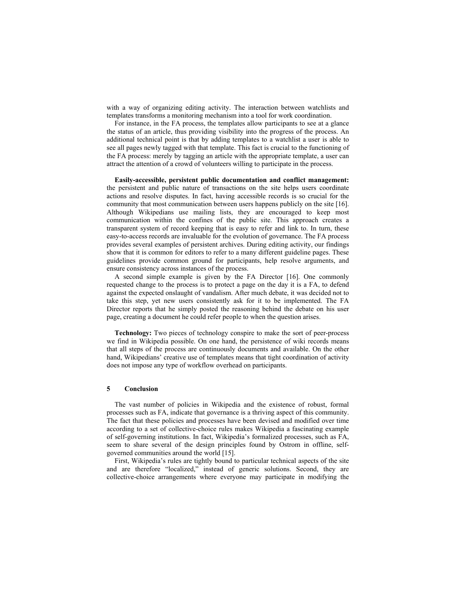with a way of organizing editing activity. The interaction between watchlists and templates transforms a monitoring mechanism into a tool for work coordination.

For instance, in the FA process, the templates allow participants to see at a glance the status of an article, thus providing visibility into the progress of the process. An additional technical point is that by adding templates to a watchlist a user is able to see all pages newly tagged with that template. This fact is crucial to the functioning of the FA process: merely by tagging an article with the appropriate template, a user can attract the attention of a crowd of volunteers willing to participate in the process.

Easily-accessible, persistent public documentation and conflict management: the persistent and public nature of transactions on the site helps users coordinate actions and resolve disputes. In fact, having accessible records is so crucial for the community that most communication between users happens publicly on the site [16]. Although Wikipedians use mailing lists, they are encouraged to keep most communication within the confines of the public site. This approach creates a transparent system of record keeping that is easy to refer and link to. In turn, these easy-to-access records are invaluable for the evolution of governance. The FA process provides several examples of persistent archives. During editing activity, our findings show that it is common for editors to refer to a many different guideline pages. These guidelines provide common ground for participants, help resolve arguments, and ensure consistency across instances of the process.

A second simple example is given by the FA Director [16]. One commonly requested change to the process is to protect a page on the day it is a FA, to defend against the expected onslaught of vandalism. After much debate, it was decided not to take this step, yet new users consistently ask for it to be implemented. The FA Director reports that he simply posted the reasoning behind the debate on his user page, creating a document he could refer people to when the question arises.

Technology: Two pieces of technology conspire to make the sort of peer-process we find in Wikipedia possible. On one hand, the persistence of wiki records means that all steps of the process are continuously documents and available. On the other hand, Wikipedians' creative use of templates means that tight coordination of activity does not impose any type of workflow overhead on participants.

### 5 Conclusion

The vast number of policies in Wikipedia and the existence of robust, formal processes such as FA, indicate that governance is a thriving aspect of this community. The fact that these policies and processes have been devised and modified over time according to a set of collective-choice rules makes Wikipedia a fascinating example of self-governing institutions. In fact, Wikipedia's formalized processes, such as FA, seem to share several of the design principles found by Ostrom in offline, selfgoverned communities around the world [15].

First, Wikipedia's rules are tightly bound to particular technical aspects of the site and are therefore "localized," instead of generic solutions. Second, they are collective-choice arrangements where everyone may participate in modifying the